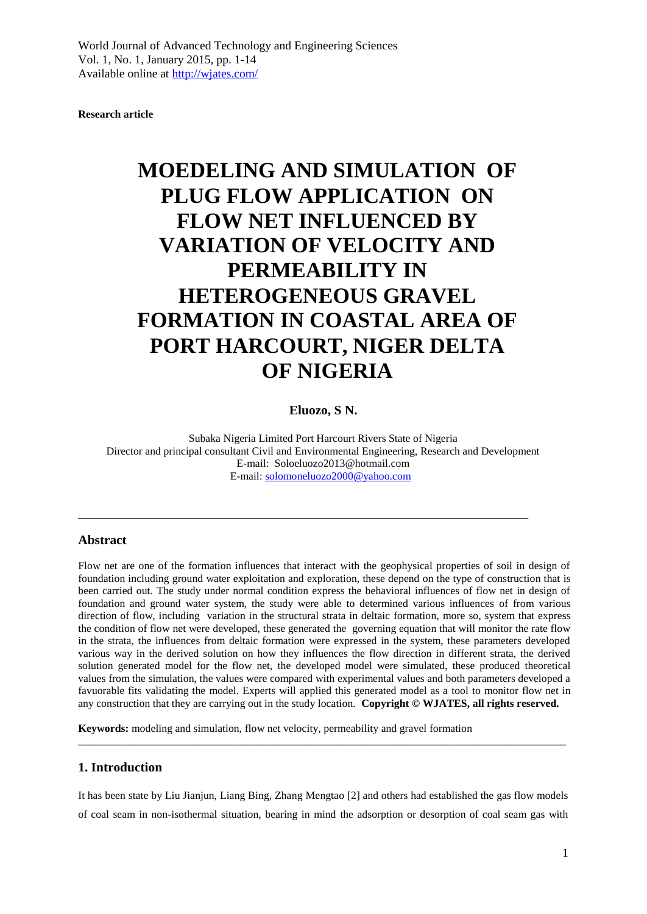**Research article**

# **MOEDELING AND SIMULATION OF PLUG FLOW APPLICATION ON FLOW NET INFLUENCED BY VARIATION OF VELOCITY AND PERMEABILITY IN HETEROGENEOUS GRAVEL FORMATION IN COASTAL AREA OF PORT HARCOURT, NIGER DELTA OF NIGERIA**

#### **Eluozo, S N.**

Subaka Nigeria Limited Port Harcourt Rivers State of Nigeria Director and principal consultant Civil and Environmental Engineering, Research and Development E-mail: Soloeluozo2013@hotmail.com E-mail: [solomoneluozo2000@yahoo.com](mailto:solomoneluozo2000@yahoo.com)

**\_\_\_\_\_\_\_\_\_\_\_\_\_\_\_\_\_\_\_\_\_\_\_\_\_\_\_\_\_\_\_\_\_\_\_\_\_\_\_\_\_\_\_\_\_\_\_\_\_\_\_\_\_\_\_\_\_\_\_\_\_\_\_\_\_\_\_\_\_\_\_\_\_\_\_\_\_\_\_\_\_\_\_**

#### **Abstract**

Flow net are one of the formation influences that interact with the geophysical properties of soil in design of foundation including ground water exploitation and exploration, these depend on the type of construction that is been carried out. The study under normal condition express the behavioral influences of flow net in design of foundation and ground water system, the study were able to determined various influences of from various direction of flow, including variation in the structural strata in deltaic formation, more so, system that express the condition of flow net were developed, these generated the governing equation that will monitor the rate flow in the strata, the influences from deltaic formation were expressed in the system, these parameters developed various way in the derived solution on how they influences the flow direction in different strata, the derived solution generated model for the flow net, the developed model were simulated, these produced theoretical values from the simulation, the values were compared with experimental values and both parameters developed a favuorable fits validating the model. Experts will applied this generated model as a tool to monitor flow net in any construction that they are carrying out in the study location. **Copyright © WJATES, all rights reserved.** 

**Keywords:** modeling and simulation, flow net velocity, permeability and gravel formation

#### **1. Introduction**

It has been state by Liu Jianjun, Liang Bing, Zhang Mengtao [2] and others had established the gas flow models of coal seam in non-isothermal situation, bearing in mind the adsorption or desorption of coal seam gas with

\_\_\_\_\_\_\_\_\_\_\_\_\_\_\_\_\_\_\_\_\_\_\_\_\_\_\_\_\_\_\_\_\_\_\_\_\_\_\_\_\_\_\_\_\_\_\_\_\_\_\_\_\_\_\_\_\_\_\_\_\_\_\_\_\_\_\_\_\_\_\_\_\_\_\_\_\_\_\_\_\_\_\_\_\_\_\_\_\_\_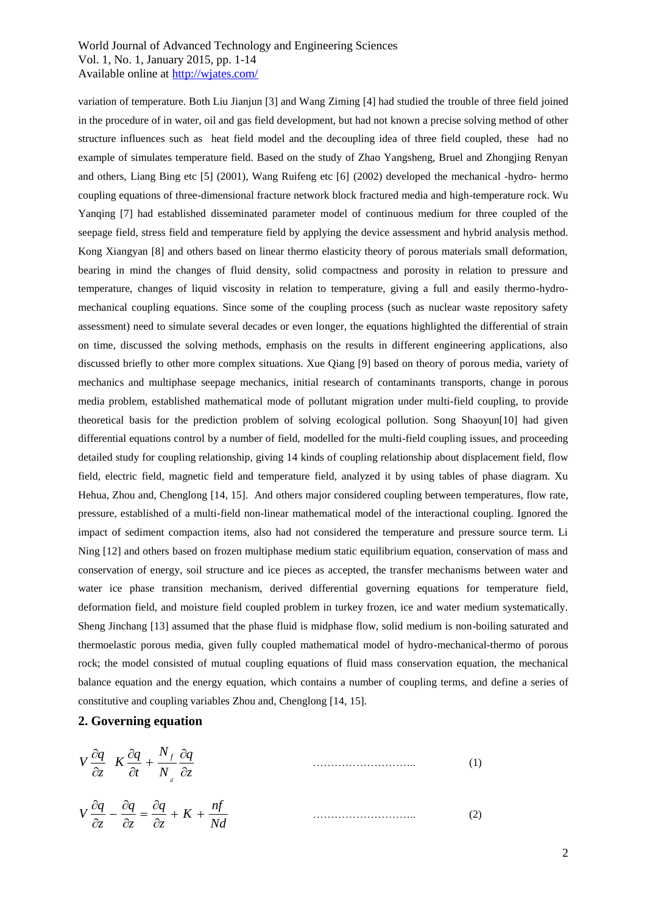variation of temperature. Both Liu Jianjun [3] and Wang Ziming [4] had studied the trouble of three field joined in the procedure of in water, oil and gas field development, but had not known a precise solving method of other structure influences such as heat field model and the decoupling idea of three field coupled, these had no example of simulates temperature field. Based on the study of Zhao Yangsheng, Bruel and Zhongjing Renyan and others, Liang Bing etc [5] (2001), Wang Ruifeng etc [6] (2002) developed the mechanical -hydro- hermo coupling equations of three-dimensional fracture network block fractured media and high-temperature rock. Wu Yanqing [7] had established disseminated parameter model of continuous medium for three coupled of the seepage field, stress field and temperature field by applying the device assessment and hybrid analysis method. Kong Xiangyan [8] and others based on linear thermo elasticity theory of porous materials small deformation, bearing in mind the changes of fluid density, solid compactness and porosity in relation to pressure and temperature, changes of liquid viscosity in relation to temperature, giving a full and easily thermo-hydromechanical coupling equations. Since some of the coupling process (such as nuclear waste repository safety assessment) need to simulate several decades or even longer, the equations highlighted the differential of strain on time, discussed the solving methods, emphasis on the results in different engineering applications, also discussed briefly to other more complex situations. Xue Qiang [9] based on theory of porous media, variety of mechanics and multiphase seepage mechanics, initial research of contaminants transports, change in porous media problem, established mathematical mode of pollutant migration under multi-field coupling, to provide theoretical basis for the prediction problem of solving ecological pollution. Song Shaoyun[10] had given differential equations control by a number of field, modelled for the multi-field coupling issues, and proceeding detailed study for coupling relationship, giving 14 kinds of coupling relationship about displacement field, flow field, electric field, magnetic field and temperature field, analyzed it by using tables of phase diagram. Xu Hehua, Zhou and, Chenglong [14, 15]. And others major considered coupling between temperatures, flow rate, pressure, established of a multi-field non-linear mathematical model of the interactional coupling. Ignored the impact of sediment compaction items, also had not considered the temperature and pressure source term. Li Ning [12] and others based on frozen multiphase medium static equilibrium equation, conservation of mass and conservation of energy, soil structure and ice pieces as accepted, the transfer mechanisms between water and water ice phase transition mechanism, derived differential governing equations for temperature field, deformation field, and moisture field coupled problem in turkey frozen, ice and water medium systematically. Sheng Jinchang [13] assumed that the phase fluid is midphase flow, solid medium is non-boiling saturated and thermoelastic porous media, given fully coupled mathematical model of hydro-mechanical-thermo of porous rock; the model consisted of mutual coupling equations of fluid mass conservation equation, the mechanical balance equation and the energy equation, which contains a number of coupling terms, and define a series of constitutive and coupling variables Zhou and, Chenglong [14, 15].

#### **2. Governing equation**

*N*

$$
V \frac{\partial q}{\partial z} K \frac{\partial q}{\partial t} + \frac{N_f}{N_a} \frac{\partial q}{\partial z}
$$
 (1)

$$
V\frac{\partial q}{\partial z} - \frac{\partial q}{\partial z} = \frac{\partial q}{\partial z} + K + \frac{nf}{Nd}
$$
 (2)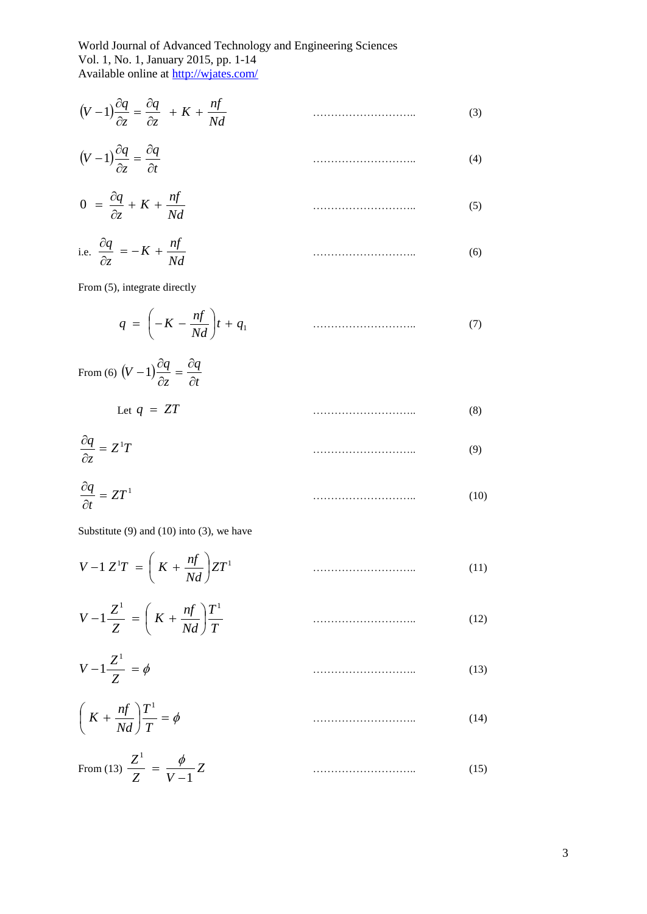# World Journal of Advanced Technology and Engineering Sciences Vol. 1, No. 1, January 2015, pp. 1-14

Available online at http://wjates.com/

$$
(V-1)\frac{\partial q}{\partial z} = \frac{\partial q}{\partial z} + K + \frac{n f}{N d}
$$
\n(3)

$$
(V-1)\frac{\partial q}{\partial z} = \frac{\partial q}{\partial t} \tag{4}
$$

$$
0 = \frac{\partial q}{\partial z} + K + \frac{nf}{Nd}
$$
 (5)

i.e. 
$$
\frac{\partial q}{\partial z} = -K + \frac{n f}{N d}
$$
 (6)

From (5), integrate directly

$$
q = \left(-K - \frac{nf}{Nd}\right)t + q_1 \tag{7}
$$

From (6) 
$$
(V-1)\frac{\partial q}{\partial z} = \frac{\partial q}{\partial t}
$$
  
Let  $q = ZT$  (8)

$$
\frac{\partial q}{\partial z} = Z^1 T \tag{9}
$$

$$
\frac{\partial q}{\partial t} = ZT^1 \tag{10}
$$

Substitute  $(9)$  and  $(10)$  into  $(3)$ , we have

$$
V - 1 Z^{1} T = \left( K + \frac{nf}{Nd} \right) Z T^{1}
$$
 (11)

$$
V - 1\frac{Z^1}{Z} = \left(K + \frac{nf}{Nd}\right)\frac{T^1}{T}
$$
\n(12)

$$
V - 1\frac{Z^1}{Z} = \phi \tag{13}
$$

$$
\left(K + \frac{nf}{Nd}\right)\frac{T^1}{T} = \phi\tag{14}
$$

From (13) 
$$
\frac{Z^1}{Z} = \frac{\phi}{V - 1} Z
$$
 (15)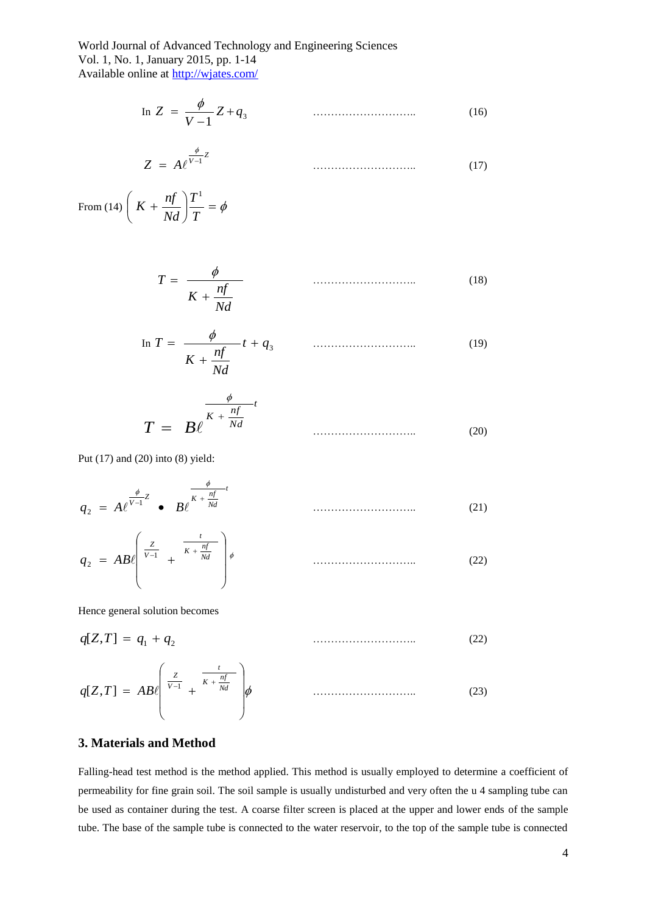In 
$$
Z = \frac{\phi}{V - 1} Z + q_3
$$
 (16)

$$
Z = A e^{\frac{\phi}{V-1}Z} \tag{17}
$$

From (14)  $K + \frac{ny}{M} \left| \frac{1}{T} \right| = \phi$ J  $\left(K+\frac{nf}{M}\right)$  $\setminus$  $K +$ *T T Nd*  $K + \frac{nf}{M}$ 

$$
T = \frac{\phi}{K + \frac{nf}{Nd}}
$$
 (18)

$$
\ln T = \frac{\phi}{K + \frac{nf}{Nd}} t + q_3 \tag{19}
$$

$$
T = B\ell^{\frac{\phi}{K + \frac{nf}{Nd}t}}
$$
 (20)

Put (17) and (20) into (8) yield:

 $\mathcal{L}$ 

$$
q_2 = A e^{\frac{\phi}{V-1}Z} \bullet B e^{\frac{\phi}{K + \frac{n f}{Nd}t}}
$$
\n(21)

$$
q_2 = AB \left( \frac{\frac{z}{v-1}}{v} + \frac{\frac{t}{K + \frac{nf}{Nd}}}{\frac{1}{V}} \right) \phi \qquad \qquad (22)
$$

Hence general solution becomes

$$
q[Z,T] = q_1 + q_2 \tag{22}
$$

$$
q[Z,T] = AB \left( \frac{Z}{V-1} + \frac{t}{K + \frac{nf}{Nd}} \right) \phi
$$
 (23)

### **3. Materials and Method**

Falling-head test method is the method applied. This method is usually employed to determine a coefficient of permeability for fine grain soil. The soil sample is usually undisturbed and very often the u 4 sampling tube can be used as container during the test. A coarse filter screen is placed at the upper and lower ends of the sample tube. The base of the sample tube is connected to the water reservoir, to the top of the sample tube is connected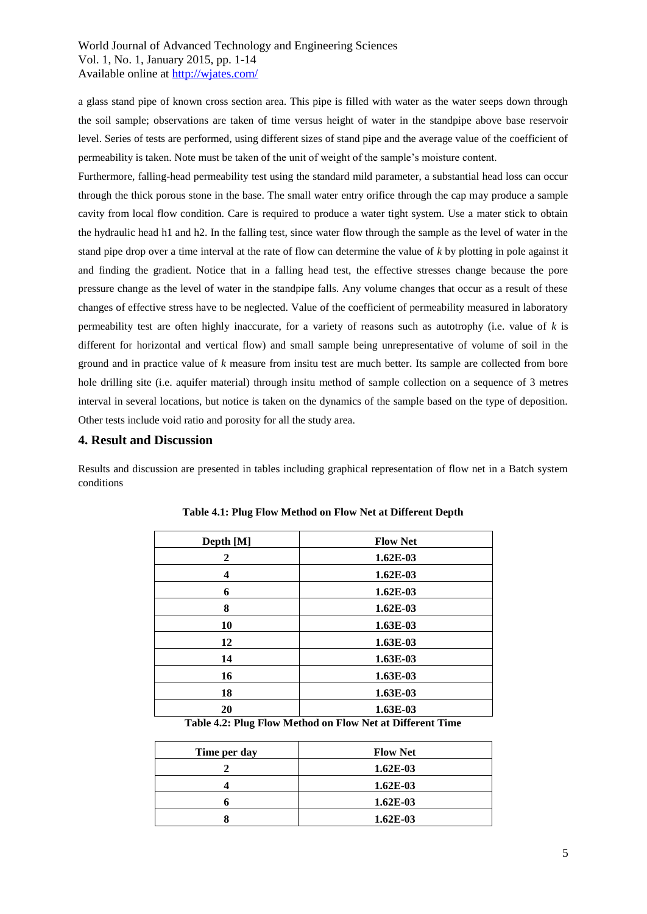a glass stand pipe of known cross section area. This pipe is filled with water as the water seeps down through the soil sample; observations are taken of time versus height of water in the standpipe above base reservoir level. Series of tests are performed, using different sizes of stand pipe and the average value of the coefficient of permeability is taken. Note must be taken of the unit of weight of the sample's moisture content.

Furthermore, falling-head permeability test using the standard mild parameter, a substantial head loss can occur through the thick porous stone in the base. The small water entry orifice through the cap may produce a sample cavity from local flow condition. Care is required to produce a water tight system. Use a mater stick to obtain the hydraulic head h1 and h2. In the falling test, since water flow through the sample as the level of water in the stand pipe drop over a time interval at the rate of flow can determine the value of *k* by plotting in pole against it and finding the gradient. Notice that in a falling head test, the effective stresses change because the pore pressure change as the level of water in the standpipe falls. Any volume changes that occur as a result of these changes of effective stress have to be neglected. Value of the coefficient of permeability measured in laboratory permeability test are often highly inaccurate, for a variety of reasons such as autotrophy (i.e. value of *k* is different for horizontal and vertical flow) and small sample being unrepresentative of volume of soil in the ground and in practice value of *k* measure from insitu test are much better. Its sample are collected from bore hole drilling site (i.e. aquifer material) through insitu method of sample collection on a sequence of 3 metres interval in several locations, but notice is taken on the dynamics of the sample based on the type of deposition. Other tests include void ratio and porosity for all the study area.

#### **4. Result and Discussion**

Results and discussion are presented in tables including graphical representation of flow net in a Batch system conditions

| Depth [M] | <b>Flow Net</b> |
|-----------|-----------------|
| 2         | $1.62E-03$      |
| 4         | $1.62E-03$      |
| 6         | $1.62E-03$      |
| 8         | $1.62E-03$      |
| 10        | 1.63E-03        |
| 12        | $1.63E-03$      |
| 14        | 1.63E-03        |
| 16        | 1.63E-03        |
| 18        | $1.63E-03$      |
| 20        | 1.63E-03        |

| Table 4.1: Plug Flow Method on Flow Net at Different Depth |  |  |  |
|------------------------------------------------------------|--|--|--|
|------------------------------------------------------------|--|--|--|

**Table 4.2: Plug Flow Method on Flow Net at Different Time**

| Time per day | <b>Flow Net</b> |
|--------------|-----------------|
|              | $1.62E-03$      |
|              | $1.62E-03$      |
|              | $1.62E-03$      |
|              | $1.62E-03$      |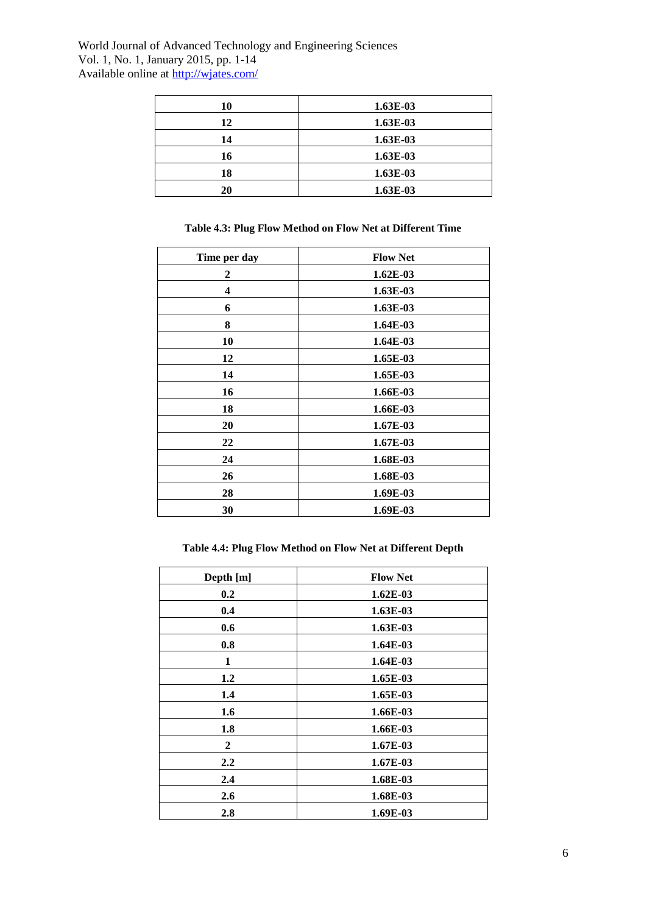| 10 | 1.63E-03 |
|----|----------|
| 12 | 1.63E-03 |
| 14 | 1.63E-03 |
| 16 | 1.63E-03 |
| 18 | 1.63E-03 |
| 20 | 1.63E-03 |

# **Table 4.3: Plug Flow Method on Flow Net at Different Time**

| Time per day | <b>Flow Net</b> |
|--------------|-----------------|
| 2            | $1.62E-03$      |
| 4            | 1.63E-03        |
| 6            | 1.63E-03        |
| 8            | $1.64E-03$      |
| 10           | 1.64E-03        |
| 12           | 1.65E-03        |
| 14           | 1.65E-03        |
| 16           | 1.66E-03        |
| 18           | 1.66E-03        |
| 20           | 1.67E-03        |
| 22           | 1.67E-03        |
| 24           | 1.68E-03        |
| 26           | 1.68E-03        |
| 28           | 1.69E-03        |
| 30           | 1.69E-03        |

# **Table 4.4: Plug Flow Method on Flow Net at Different Depth**

| Depth [m] | <b>Flow Net</b> |
|-----------|-----------------|
| 0.2       | $1.62E-03$      |
| 0.4       | 1.63E-03        |
| 0.6       | $1.63E-03$      |
| 0.8       | 1.64E-03        |
| 1         | $1.64E-03$      |
| 1.2       | 1.65E-03        |
| 1.4       | 1.65E-03        |
| 1.6       | 1.66E-03        |
| 1.8       | 1.66E-03        |
| 2         | 1.67E-03        |
| 2.2       | $1.67E-03$      |
| 2.4       | 1.68E-03        |
| 2.6       | 1.68E-03        |
| 2.8       | 1.69E-03        |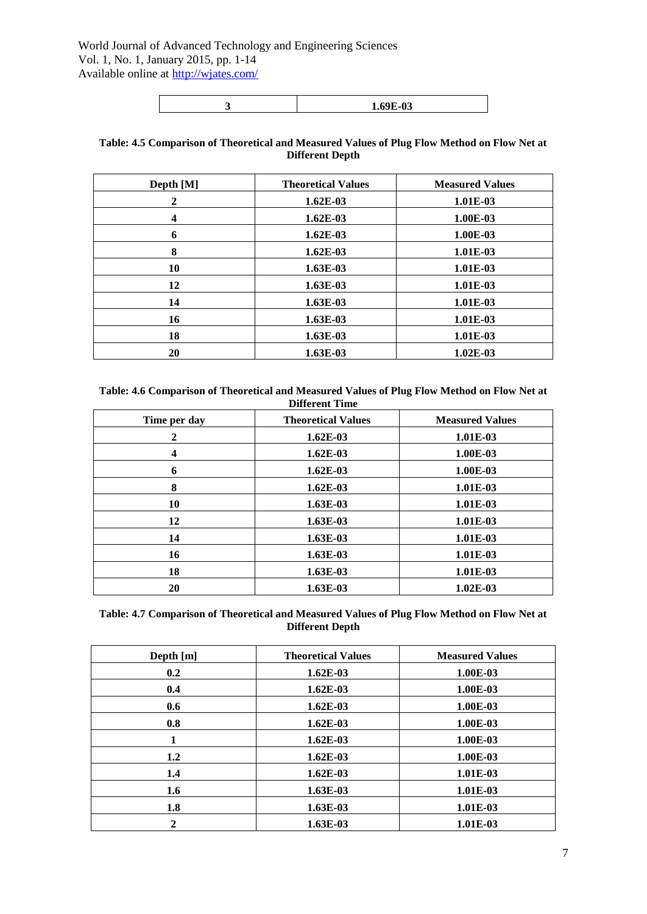|--|

#### **Table: 4.5 Comparison of Theoretical and Measured Values of Plug Flow Method on Flow Net at Different Depth**

| Depth [M] | <b>Theoretical Values</b> | <b>Measured Values</b> |
|-----------|---------------------------|------------------------|
| 2         | $1.62E-03$                | 1.01E-03               |
| 4         | $1.62E-03$                | 1.00E-03               |
| 6         | $1.62E-03$                | 1.00E-03               |
| 8         | $1.62E-03$                | 1.01E-03               |
| 10        | $1.63E-03$                | 1.01E-03               |
| 12        | $1.63E-03$                | 1.01E-03               |
| 14        | 1.63E-03                  | 1.01E-03               |
| 16        | $1.63E-03$                | 1.01E-03               |
| 18        | $1.63E-03$                | 1.01E-03               |
| 20        | $1.63E-03$                | $1.02E-03$             |

**Table: 4.6 Comparison of Theoretical and Measured Values of Plug Flow Method on Flow Net at Different Time**

| Time per day | <b>Theoretical Values</b> | <b>Measured Values</b> |
|--------------|---------------------------|------------------------|
| 2            | $1.62E-03$                | 1.01E-03               |
| 4            | $1.62E-03$                | 1.00E-03               |
| 6            | $1.62E-03$                | 1.00E-03               |
| 8            | $1.62E-03$                | 1.01E-03               |
| 10           | 1.63E-03                  | 1.01E-03               |
| 12           | $1.63E-03$                | 1.01E-03               |
| 14           | 1.63E-03                  | 1.01E-03               |
| 16           | $1.63E-03$                | 1.01E-03               |
| 18           | $1.63E-03$                | 1.01E-03               |
| 20           | $1.63E-03$                | $1.02E-03$             |

**Table: 4.7 Comparison of Theoretical and Measured Values of Plug Flow Method on Flow Net at Different Depth**

| Depth [m] | <b>Theoretical Values</b> | <b>Measured Values</b> |
|-----------|---------------------------|------------------------|
| 0.2       | $1.62E-03$                | 1.00E-03               |
| 0.4       | $1.62E-03$                | 1.00E-03               |
| 0.6       | $1.62E-03$                | 1.00E-03               |
| 0.8       | $1.62E-03$                | 1.00E-03               |
| 1         | $1.62E-03$                | 1.00E-03               |
| 1.2       | $1.62E-03$                | 1.00E-03               |
| 1.4       | $1.62E-03$                | 1.01E-03               |
| 1.6       | 1.63E-03                  | 1.01E-03               |
| 1.8       | $1.63E-03$                | 1.01E-03               |
|           | $1.63E-03$                | 1.01E-03               |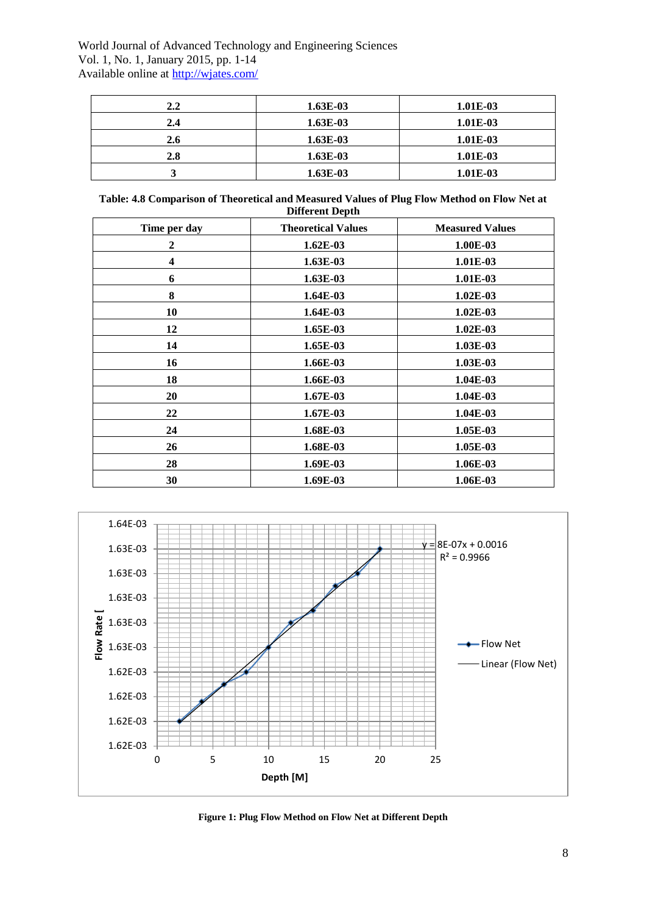| $2.2\,$ | $1.63E-03$ | 1.01E-03 |
|---------|------------|----------|
| 2.4     | $1.63E-03$ | 1.01E-03 |
| 2.6     | $1.63E-03$ | 1.01E-03 |
| 2.8     | $1.63E-03$ | 1.01E-03 |
|         | $1.63E-03$ | 1.01E-03 |

| Table: 4.8 Comparison of Theoretical and Measured Values of Plug Flow Method on Flow Net at |
|---------------------------------------------------------------------------------------------|
| <b>Different Depth</b>                                                                      |

| Time per day | <b>Theoretical Values</b> | <b>Measured Values</b> |
|--------------|---------------------------|------------------------|
| $\mathbf{2}$ | $1.62E-03$                | 1.00E-03               |
| 4            | 1.63E-03                  | 1.01E-03               |
| 6            | 1.63E-03                  | 1.01E-03               |
| 8            | 1.64E-03                  | 1.02E-03               |
| 10           | $1.64E-03$                | $1.02E-03$             |
| 12           | 1.65E-03                  | 1.02E-03               |
| 14           | 1.65E-03                  | 1.03E-03               |
| 16           | 1.66E-03                  | 1.03E-03               |
| 18           | 1.66E-03                  | $1.04E-03$             |
| 20           | 1.67E-03                  | 1.04E-03               |
| 22           | 1.67E-03                  | 1.04E-03               |
| 24           | 1.68E-03                  | 1.05E-03               |
| 26           | 1.68E-03                  | 1.05E-03               |
| 28           | 1.69E-03                  | 1.06E-03               |
| 30           | 1.69E-03                  | 1.06E-03               |



**Figure 1: Plug Flow Method on Flow Net at Different Depth**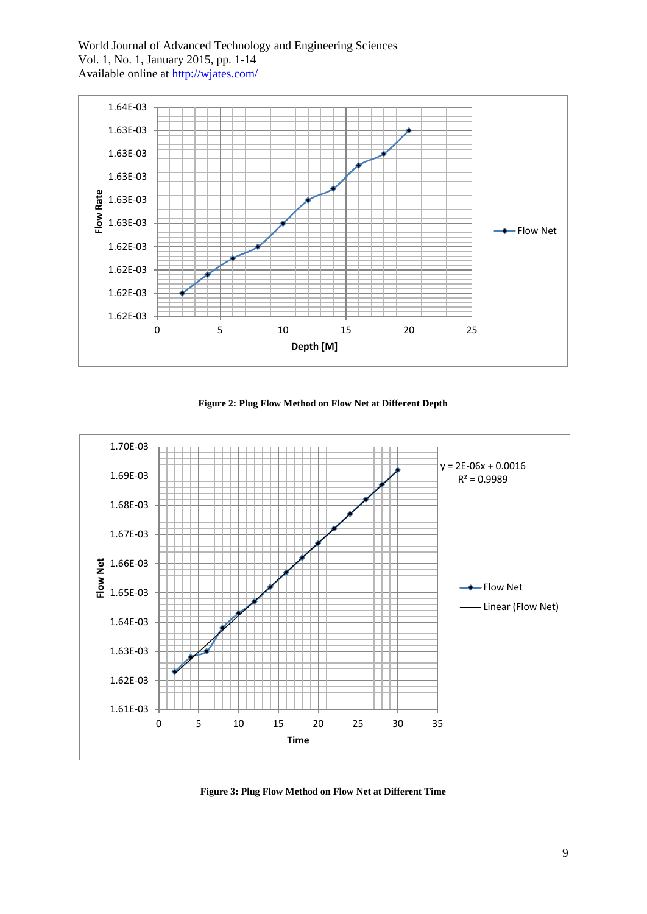

**Figure 2: Plug Flow Method on Flow Net at Different Depth**



**Figure 3: Plug Flow Method on Flow Net at Different Time**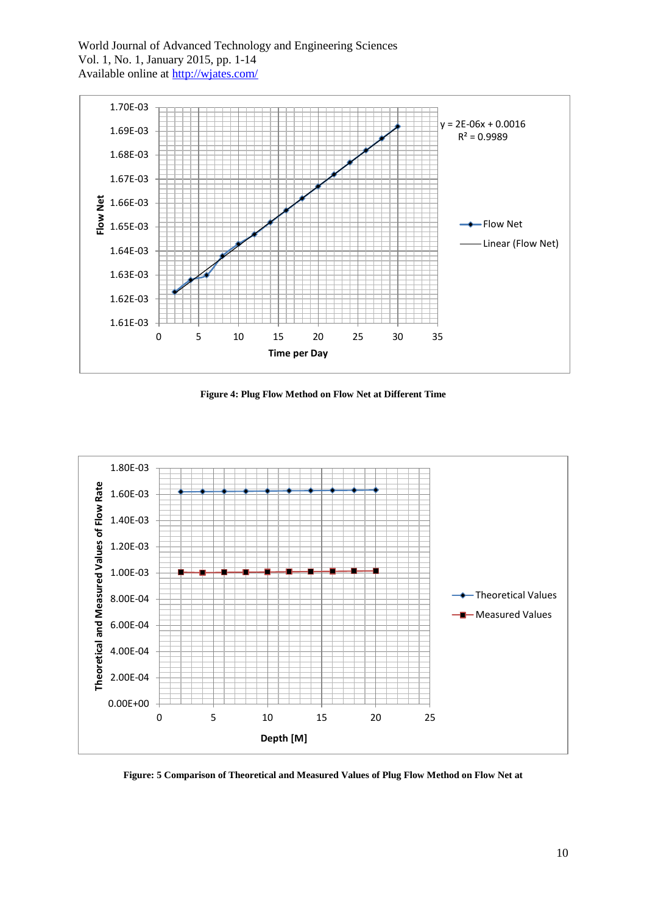

**Figure 4: Plug Flow Method on Flow Net at Different Time**



**Figure: 5 Comparison of Theoretical and Measured Values of Plug Flow Method on Flow Net at**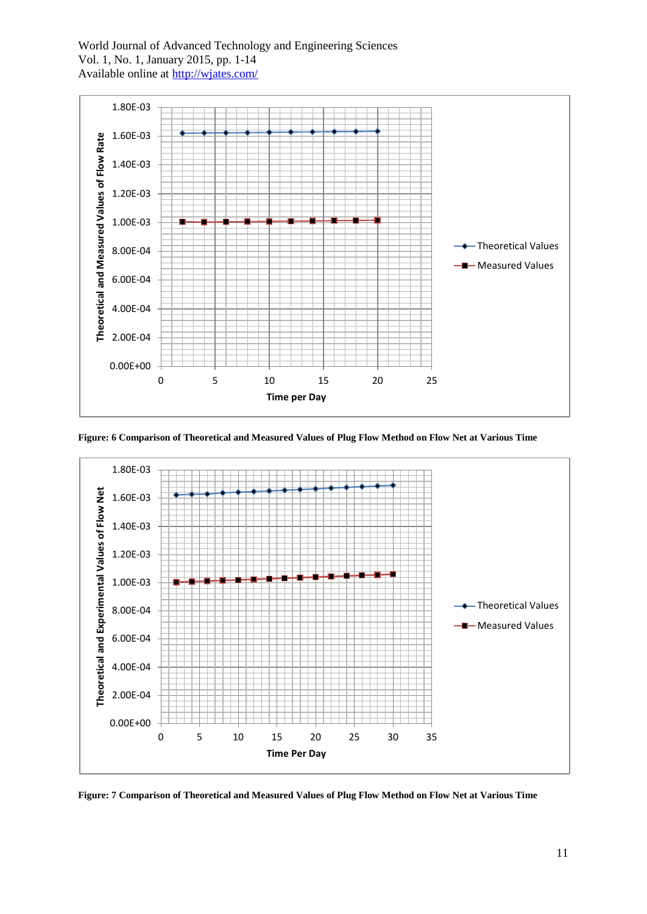

**Figure: 6 Comparison of Theoretical and Measured Values of Plug Flow Method on Flow Net at Various Time**



**Figure: 7 Comparison of Theoretical and Measured Values of Plug Flow Method on Flow Net at Various Time**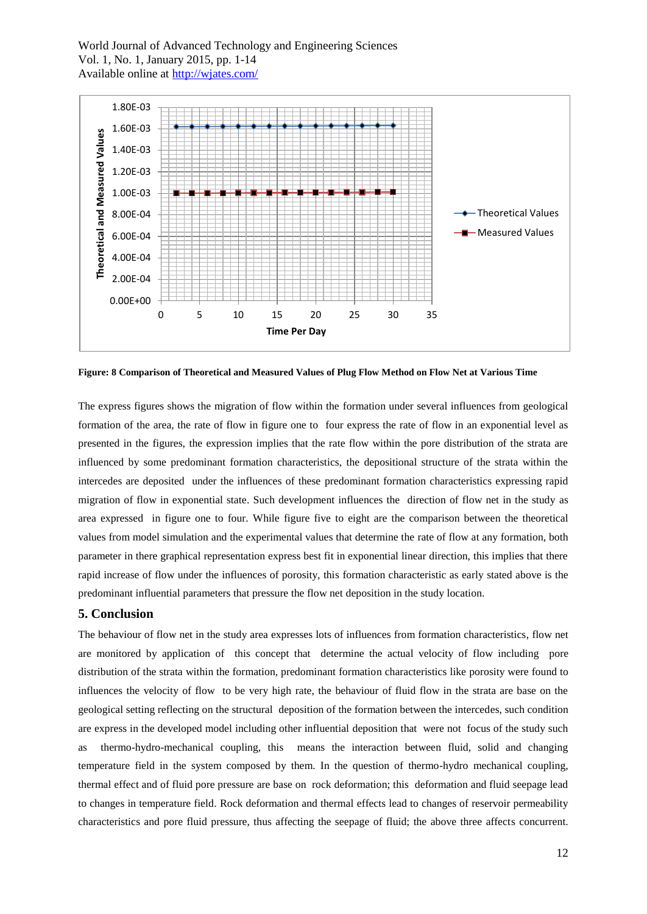

**Figure: 8 Comparison of Theoretical and Measured Values of Plug Flow Method on Flow Net at Various Time**

The express figures shows the migration of flow within the formation under several influences from geological formation of the area, the rate of flow in figure one to four express the rate of flow in an exponential level as presented in the figures, the expression implies that the rate flow within the pore distribution of the strata are influenced by some predominant formation characteristics, the depositional structure of the strata within the intercedes are deposited under the influences of these predominant formation characteristics expressing rapid migration of flow in exponential state. Such development influences the direction of flow net in the study as area expressed in figure one to four. While figure five to eight are the comparison between the theoretical values from model simulation and the experimental values that determine the rate of flow at any formation, both parameter in there graphical representation express best fit in exponential linear direction, this implies that there rapid increase of flow under the influences of porosity, this formation characteristic as early stated above is the predominant influential parameters that pressure the flow net deposition in the study location.

#### **5. Conclusion**

The behaviour of flow net in the study area expresses lots of influences from formation characteristics, flow net are monitored by application of this concept that determine the actual velocity of flow including pore distribution of the strata within the formation, predominant formation characteristics like porosity were found to influences the velocity of flow to be very high rate, the behaviour of fluid flow in the strata are base on the geological setting reflecting on the structural deposition of the formation between the intercedes, such condition are express in the developed model including other influential deposition that were not focus of the study such as thermo-hydro-mechanical coupling, this means the interaction between fluid, solid and changing temperature field in the system composed by them. In the question of thermo-hydro mechanical coupling, thermal effect and of fluid pore pressure are base on rock deformation; this deformation and fluid seepage lead to changes in temperature field. Rock deformation and thermal effects lead to changes of reservoir permeability characteristics and pore fluid pressure, thus affecting the seepage of fluid; the above three affects concurrent.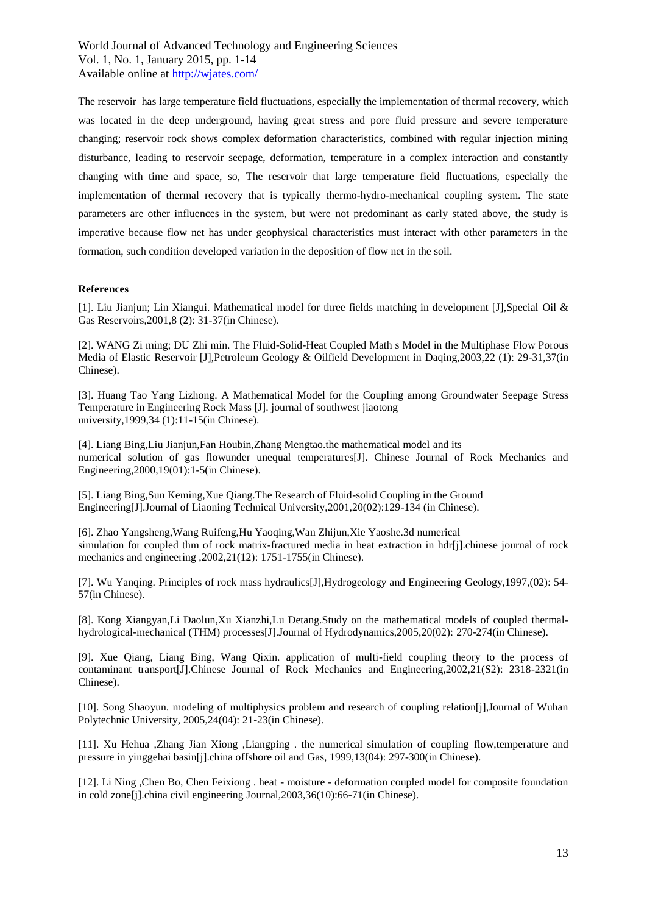The reservoir has large temperature field fluctuations, especially the implementation of thermal recovery, which was located in the deep underground, having great stress and pore fluid pressure and severe temperature changing; reservoir rock shows complex deformation characteristics, combined with regular injection mining disturbance, leading to reservoir seepage, deformation, temperature in a complex interaction and constantly changing with time and space, so, The reservoir that large temperature field fluctuations, especially the implementation of thermal recovery that is typically thermo-hydro-mechanical coupling system. The state parameters are other influences in the system, but were not predominant as early stated above, the study is imperative because flow net has under geophysical characteristics must interact with other parameters in the formation, such condition developed variation in the deposition of flow net in the soil.

#### **References**

[1]. Liu Jianjun; Lin Xiangui. Mathematical model for three fields matching in development [J],Special Oil & Gas Reservoirs,2001,8 (2): 31-37(in Chinese).

[2]. WANG Zi ming; DU Zhi min. The Fluid-Solid-Heat Coupled Math s Model in the Multiphase Flow Porous Media of Elastic Reservoir [J],Petroleum Geology & Oilfield Development in Daqing,2003,22 (1): 29-31,37(in Chinese).

[3]. Huang Tao Yang Lizhong. A Mathematical Model for the Coupling among Groundwater Seepage Stress Temperature in Engineering Rock Mass [J]. journal of southwest jiaotong university,1999,34 (1):11-15(in Chinese).

[4]. Liang Bing,Liu Jianjun,Fan Houbin,Zhang Mengtao.the mathematical model and its numerical solution of gas flowunder unequal temperatures[J]. Chinese Journal of Rock Mechanics and Engineering,2000,19(01):1-5(in Chinese).

[5]. Liang Bing,Sun Keming,Xue Qiang.The Research of Fluid-solid Coupling in the Ground Engineering[J].Journal of Liaoning Technical University,2001,20(02):129-134 (in Chinese).

[6]. Zhao Yangsheng,Wang Ruifeng,Hu Yaoqing,Wan Zhijun,Xie Yaoshe.3d numerical simulation for coupled thm of rock matrix-fractured media in heat extraction in hdr[j].chinese journal of rock mechanics and engineering ,2002,21(12): 1751-1755(in Chinese).

[7]. Wu Yanqing. Principles of rock mass hydraulics[J],Hydrogeology and Engineering Geology,1997,(02): 54- 57(in Chinese).

[8]. Kong Xiangyan,Li Daolun,Xu Xianzhi,Lu Detang.Study on the mathematical models of coupled thermalhydrological-mechanical (THM) processes[J].Journal of Hydrodynamics,2005,20(02): 270-274(in Chinese).

[9]. Xue Qiang, Liang Bing, Wang Qixin. application of multi-field coupling theory to the process of contaminant transport[J].Chinese Journal of Rock Mechanics and Engineering,2002,21(S2): 2318-2321(in Chinese).

[10]. Song Shaoyun. modeling of multiphysics problem and research of coupling relation[j],Journal of Wuhan Polytechnic University, 2005,24(04): 21-23(in Chinese).

[11]. Xu Hehua ,Zhang Jian Xiong ,Liangping . the numerical simulation of coupling flow,temperature and pressure in yinggehai basin[j].china offshore oil and Gas, 1999,13(04): 297-300(in Chinese).

[12]. Li Ning ,Chen Bo, Chen Feixiong . heat - moisture - deformation coupled model for composite foundation in cold zone[j].china civil engineering Journal,2003,36(10):66-71(in Chinese).